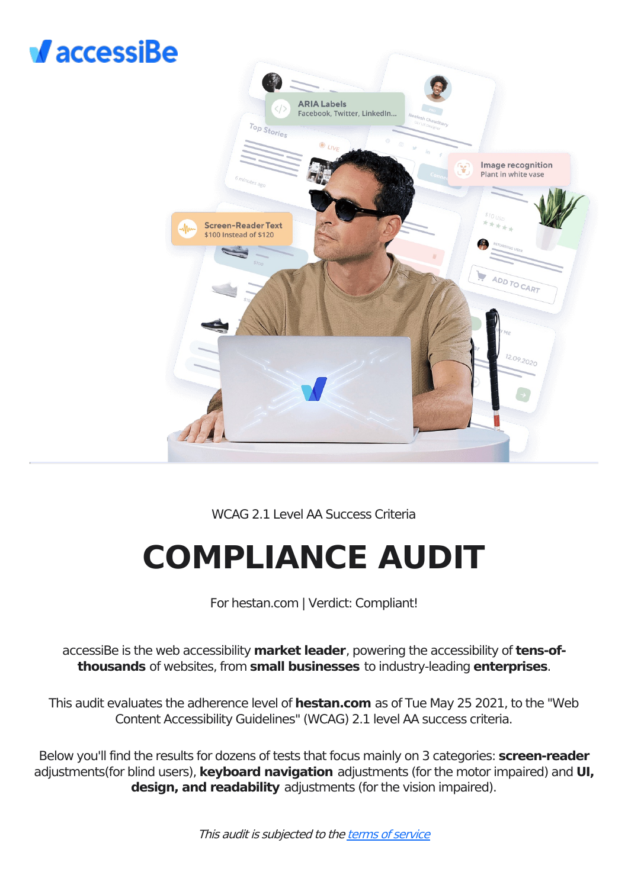



## WCAG 2.1 Level AA Success Criteria

# **COMPLIANCE AUDIT**

For hestan.com | Verdict: Compliant!

accessiBe is the web accessibility **market leader**, powering the accessibility of **tens-ofthousands** of websites, from **small businesses** to industry-leading **enterprises**.

This audit evaluates the adherence level of **hestan.com** as of Tue May 25 2021, to the "Web Content Accessibility Guidelines" (WCAG) 2.1 level AA success criteria.

Below you'll find the results for dozens of tests that focus mainly on 3 categories: **screen-reader** adjustments(for blind users), **keyboard navigation** adjustments (for the motor impaired) and **UI, design, and readability** adjustments (for the vision impaired).

This audit is subjected to the terms of [service](https://accessibe.com/terms-of-service)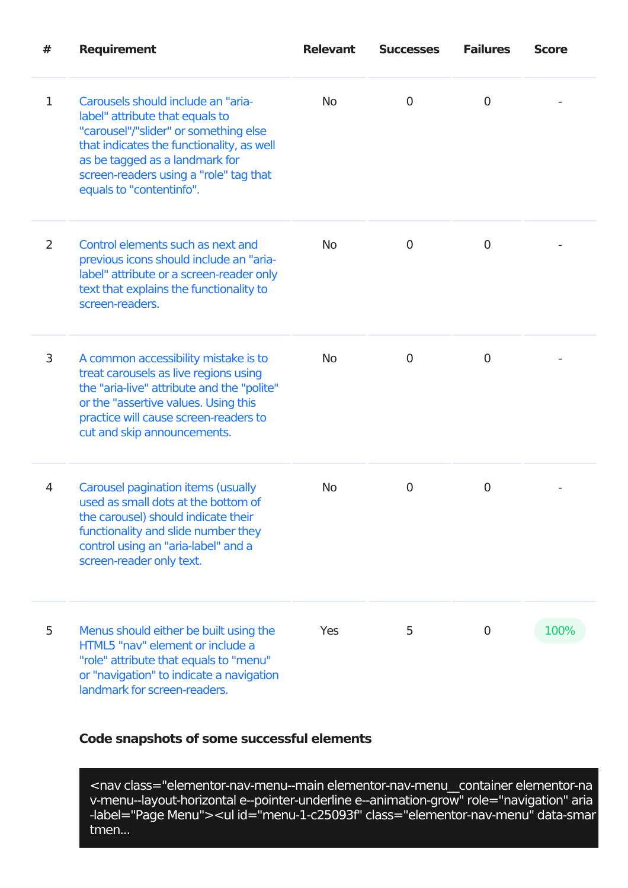| #              | <b>Requirement</b>                                                                                                                                                                                                                                                  | <b>Relevant</b> | <b>Successes</b> | <b>Failures</b> | <b>Score</b> |
|----------------|---------------------------------------------------------------------------------------------------------------------------------------------------------------------------------------------------------------------------------------------------------------------|-----------------|------------------|-----------------|--------------|
| $\mathbf 1$    | Carousels should include an "aria-<br>label" attribute that equals to<br>"carousel"/"slider" or something else<br>that indicates the functionality, as well<br>as be tagged as a landmark for<br>screen-readers using a "role" tag that<br>equals to "contentinfo". | <b>No</b>       | $\overline{0}$   | $\mathbf 0$     |              |
| $\overline{2}$ | Control elements such as next and<br>previous icons should include an "aria-<br>label" attribute or a screen-reader only<br>text that explains the functionality to<br>screen-readers.                                                                              | <b>No</b>       | $\overline{0}$   | $\overline{0}$  |              |
| 3              | A common accessibility mistake is to<br>treat carousels as live regions using<br>the "aria-live" attribute and the "polite"<br>or the "assertive values. Using this<br>practice will cause screen-readers to<br>cut and skip announcements.                         | <b>No</b>       | 0                | $\overline{0}$  |              |
| 4              | <b>Carousel pagination items (usually</b><br>used as small dots at the bottom of<br>the carousel) should indicate their<br>functionality and slide number they<br>control using an "aria-label" and a<br>screen-reader only text.                                   | <b>No</b>       | 0                | 0               |              |
| 5              | Menus should either be built using the<br>HTML5 "nay" element or include a<br>"role" attribute that equals to "menu"<br>or "navigation" to indicate a navigation<br>landmark for screen-readers.                                                                    | <b>Yes</b>      | 5                | 0               | 100%         |

<nav class="elementor-nav-menu--main elementor-nav-menu\_\_container elementor-na v-menu--layout-horizontal e--pointer-underline e--animation-grow" role="navigation" aria -label="Page Menu"><ul id="menu-1-c25093f" class="elementor-nav-menu" data-smar tmen...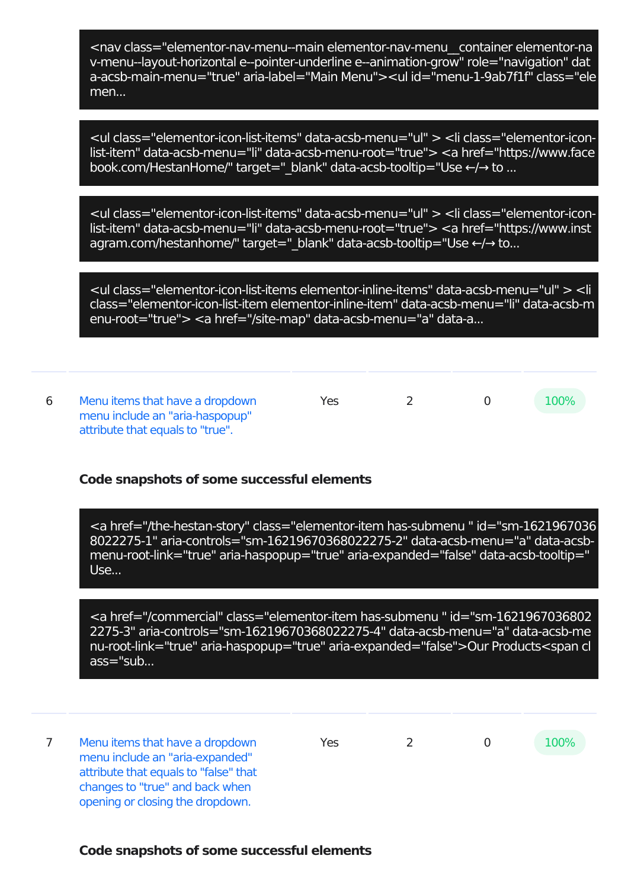<nav class="elementor-nav-menu--main elementor-nav-menu\_\_container elementor-na v-menu--layout-horizontal e--pointer-underline e--animation-grow" role="navigation" dat a-acsb-main-menu="true" aria-label="Main Menu"><ul id="menu-1-9ab7f1f" class="ele men...

<ul class="elementor-icon-list-items" data-acsb-menu="ul" > <li class="elementor-iconlist-item" data-acsb-menu="li" data-acsb-menu-root="true"> <a href="https://www.face book.com/HestanHome/" target=" blank" data-acsb-tooltip="Use ←/→ to ...

<ul class="elementor-icon-list-items" data-acsb-menu="ul" > <li class="elementor-iconlist-item" data-acsb-menu="li" data-acsb-menu-root="true"> <a href="https://www.inst agram.com/hestanhome/" target=" blank" data-acsb-tooltip="Use ←/→ to...

<ul class="elementor-icon-list-items elementor-inline-items" data-acsb-menu="ul" > <li class="elementor-icon-list-item elementor-inline-item" data-acsb-menu="li" data-acsb-m enu-root="true"> <a href="/site-map" data-acsb-menu="a" data-a...

6 Menu items that have a dropdown menu include an "aria-haspopup" attribute that equals to "true". Yes 2 0 100%

#### **Code snapshots of some successful elements**

<a href="/the-hestan-story" class="elementor-item has-submenu " id="sm-1621967036 8022275-1" aria-controls="sm-16219670368022275-2" data-acsb-menu="a" data-acsbmenu-root-link="true" aria-haspopup="true" aria-expanded="false" data-acsb-tooltip=" Use...

<a href="/commercial" class="elementor-item has-submenu " id="sm-1621967036802 2275-3" aria-controls="sm-16219670368022275-4" data-acsb-menu="a" data-acsb-me nu-root-link="true" aria-haspopup="true" aria-expanded="false">Our Products<span cl ass="sub...

7 Menu items that have a dropdown menu include an "aria-expanded" attribute that equals to "false" that changes to "true" and back when opening or closing the dropdown.

Yes 2 0 100%

#### **Code snapshots of some successful elements**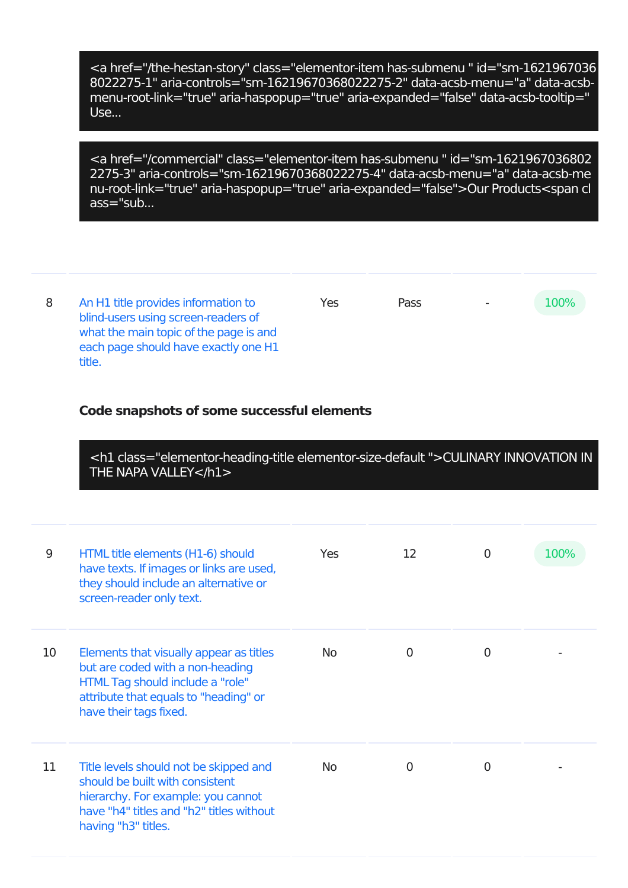<a href="/the-hestan-story" class="elementor-item has-submenu " id="sm-1621967036 8022275-1" aria-controls="sm-16219670368022275-2" data-acsb-menu="a" data-acsbmenu-root-link="true" aria-haspopup="true" aria-expanded="false" data-acsb-tooltip=" Use...

<a href="/commercial" class="elementor-item has-submenu " id="sm-1621967036802 2275-3" aria-controls="sm-16219670368022275-4" data-acsb-menu="a" data-acsb-me nu-root-link="true" aria-haspopup="true" aria-expanded="false">Our Products<span cl ass="sub...

8 An H1 title provides information to blind-users using screen-readers of what the main topic of the page is and each page should have exactly one H1 title. Yes Pass - 100%

## **Code snapshots of some successful elements**

<h1 class="elementor-heading-title elementor-size-default ">CULINARY INNOVATION IN THE NAPA VALLEY</h1>

| 9  | HTML title elements (H1-6) should<br>have texts. If images or links are used,<br>they should include an alternative or<br>screen-reader only text.                                 | <b>Yes</b> | 12       | O            | 100% |
|----|------------------------------------------------------------------------------------------------------------------------------------------------------------------------------------|------------|----------|--------------|------|
| 10 | Elements that visually appear as titles<br>but are coded with a non-heading<br>HTML Tag should include a "role"<br>attribute that equals to "heading" or<br>have their tags fixed. | No.        | O        | $\mathbf{0}$ |      |
| 11 | Title levels should not be skipped and<br>should be built with consistent<br>hierarchy. For example: you cannot<br>have "h4" titles and "h2" titles without<br>having "h3" titles. | No.        | $\Omega$ | $\Omega$     |      |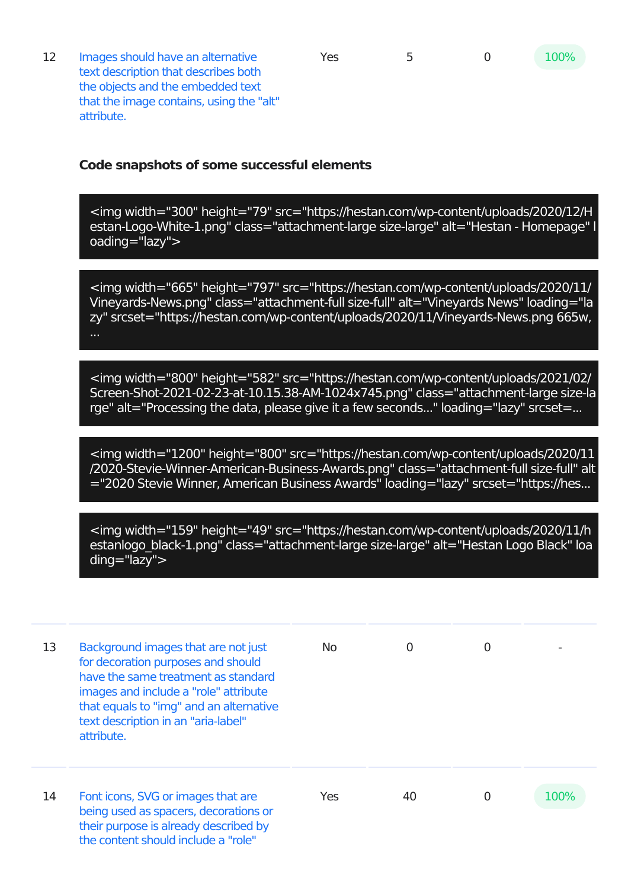12 Images should have an alternative text description that describes both the objects and the embedded text that the image contains, using the "alt" attribute.

## **Code snapshots of some successful elements**

<img width="300" height="79" src="https://hestan.com/wp-content/uploads/2020/12/H estan-Logo-White-1.png" class="attachment-large size-large" alt="Hestan - Homepage" l oading="lazy">

<img width="665" height="797" src="https://hestan.com/wp-content/uploads/2020/11/ Vineyards-News.png" class="attachment-full size-full" alt="Vineyards News" loading="la zy" srcset="https://hestan.com/wp-content/uploads/2020/11/Vineyards-News.png 665w,

<img width="800" height="582" src="https://hestan.com/wp-content/uploads/2021/02/ Screen-Shot-2021-02-23-at-10.15.38-AM-1024x745.png" class="attachment-large size-la rge" alt="Processing the data, please give it a few seconds..." loading="lazy" srcset=...

<img width="1200" height="800" src="https://hestan.com/wp-content/uploads/2020/11 /2020-Stevie-Winner-American-Business-Awards.png" class="attachment-full size-full" alt ="2020 Stevie Winner, American Business Awards" loading="lazy" srcset="https://hes...

<img width="159" height="49" src="https://hestan.com/wp-content/uploads/2020/11/h estanlogo black-1.png" class="attachment-large size-large" alt="Hestan Logo Black" loa ding="lazy">

| 13 | Background images that are not just<br>for decoration purposes and should<br>have the same treatment as standard<br>images and include a "role" attribute<br>that equals to "img" and an alternative<br>text description in an "aria-label"<br>attribute. | No. | 0  | 0 |      |
|----|-----------------------------------------------------------------------------------------------------------------------------------------------------------------------------------------------------------------------------------------------------------|-----|----|---|------|
| 14 | Font icons, SVG or images that are<br>being used as spacers, decorations or<br>their purpose is already described by<br>the content should include a "role"                                                                                               | Yes | 40 | 0 | 100% |

Yes 5 0 100%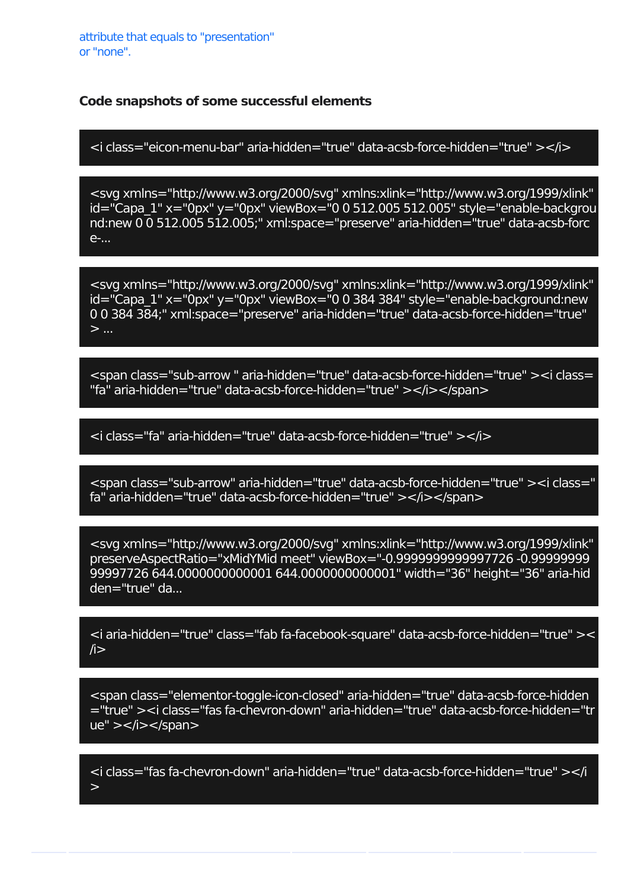<i class="eicon-menu-bar" aria-hidden="true" data-acsb-force-hidden="true" ></i>

<svg xmlns="http://www.w3.org/2000/svg" xmlns:xlink="http://www.w3.org/1999/xlink"  $id="Capa 1" x="0px" y="0px" viewBox="0 0 512.005 512.005" style="enable-backqrou$ nd:new 0 0 512.005 512.005;" xml:space="preserve" aria-hidden="true" data-acsb-forc e-...

<svg xmlns="http://www.w3.org/2000/svg" xmlns:xlink="http://www.w3.org/1999/xlink" id="Capa\_1" x="0px" y="0px" viewBox="0 0 384 384" style="enable-background:new 0 0 384 384;" xml:space="preserve" aria-hidden="true" data-acsb-force-hidden="true"  $>$  ...

<span class="sub-arrow " aria-hidden="true" data-acsb-force-hidden="true" ><i class= "fa" aria-hidden="true" data-acsb-force-hidden="true" ></i></span>

<i class="fa" aria-hidden="true" data-acsb-force-hidden="true" ></i>

<span class="sub-arrow" aria-hidden="true" data-acsb-force-hidden="true" ><i class=" fa" aria-hidden="true" data-acsb-force-hidden="true" ></i></span>

<svg xmlns="http://www.w3.org/2000/svg" xmlns:xlink="http://www.w3.org/1999/xlink" preserveAspectRatio="xMidYMid meet" viewBox="-0.9999999999997726 -0.99999999 99997726 644.0000000000001 644.0000000000001" width="36" height="36" aria-hid den="true" da...

<i aria-hidden="true" class="fab fa-facebook-square" data-acsb-force-hidden="true" ><  $\sqrt{i}$ 

<span class="elementor-toggle-icon-closed" aria-hidden="true" data-acsb-force-hidden ="true" ><i class="fas fa-chevron-down" aria-hidden="true" data-acsb-force-hidden="tr ue" > </i> </span>

<i class="fas fa-chevron-down" aria-hidden="true" data-acsb-force-hidden="true" ></i >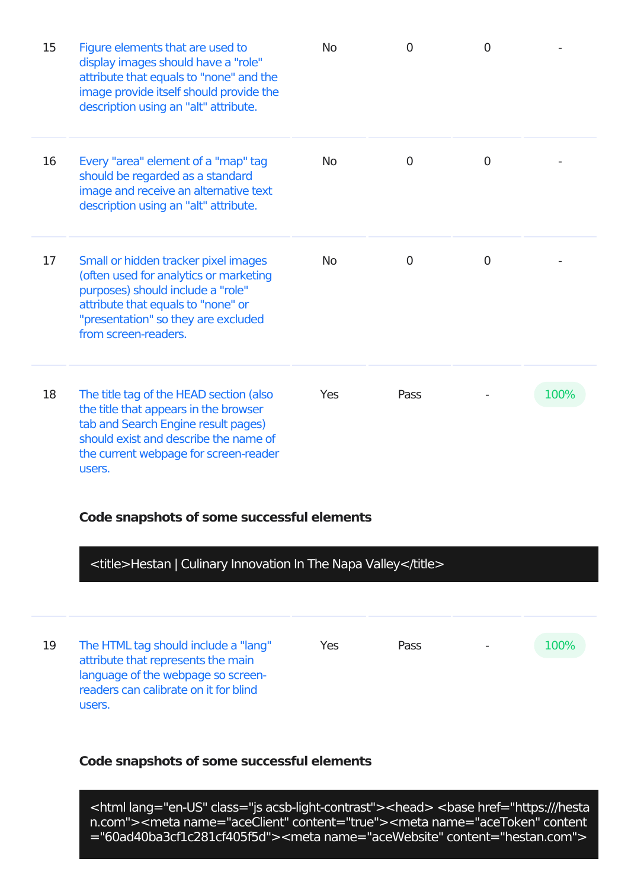| 15 | Figure elements that are used to<br>display images should have a "role"<br>attribute that equals to "none" and the<br>image provide itself should provide the<br>description using an "alt" attribute.                   | <b>No</b> | $\Omega$       | $\overline{0}$ |      |
|----|--------------------------------------------------------------------------------------------------------------------------------------------------------------------------------------------------------------------------|-----------|----------------|----------------|------|
| 16 | Every "area" element of a "map" tag<br>should be regarded as a standard<br>image and receive an alternative text<br>description using an "alt" attribute.                                                                | <b>No</b> | $\mathbf 0$    | $\overline{0}$ |      |
| 17 | Small or hidden tracker pixel images<br>(often used for analytics or marketing<br>purposes) should include a "role"<br>attribute that equals to "none" or<br>"presentation" so they are excluded<br>from screen-readers. | <b>No</b> | $\overline{0}$ | 0              |      |
| 18 | The title tag of the HEAD section (also<br>the title that appears in the browser<br>tab and Search Engine result pages)<br>should exist and describe the name of<br>the current webpage for screen-reader<br>users.      | Yes       | Pass           |                | 100% |

## <title>Hestan | Culinary Innovation In The Napa Valley</title>

| 19 | The HTML tag should include a "lang"<br>attribute that represents the main<br>language of the webpage so screen-<br>readers can calibrate on it for blind | Yes | <b>Pass</b> | 100% |
|----|-----------------------------------------------------------------------------------------------------------------------------------------------------------|-----|-------------|------|
|    | users.                                                                                                                                                    |     |             |      |

## **Code snapshots of some successful elements**

<html lang="en-US" class="js acsb-light-contrast"><head> <base href="https:///hesta n.com"><meta name="aceClient" content="true"><meta name="aceToken" content ="60ad40ba3cf1c281cf405f5d"><meta name="aceWebsite" content="hestan.com">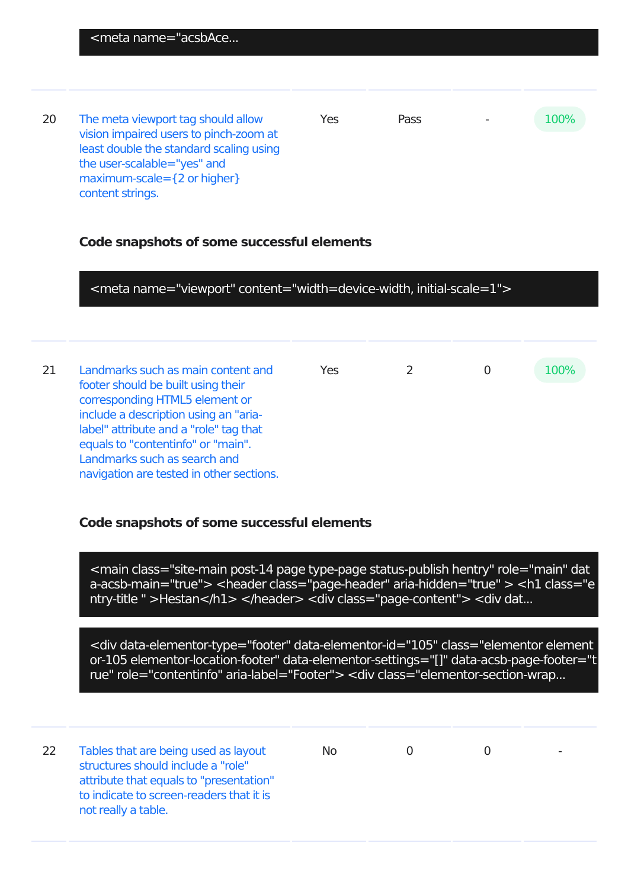20 The meta viewport tag should allow vision impaired users to pinch-zoom at least double the standard scaling using the user-scalable="yes" and maximum-scale={2 or higher} content strings. Yes Pass - 100%

#### **Code snapshots of some successful elements**

<meta name="viewport" content="width=device-width, initial-scale=1">

21 Landmarks such as main content and footer should be built using their corresponding HTML5 element or include a description using an "arialabel" attribute and a "role" tag that equals to "contentinfo" or "main". Landmarks such as search and navigation are tested in other sections. Yes 2 0 100%

#### **Code snapshots of some successful elements**

<main class="site-main post-14 page type-page status-publish hentry" role="main" dat a-acsb-main="true"> <header class="page-header" aria-hidden="true" > <h1 class="e ntry-title " >Hestan</h1> </header> <div class="page-content"> <div dat...

<div data-elementor-type="footer" data-elementor-id="105" class="elementor element or-105 elementor-location-footer" data-elementor-settings="[]" data-acsb-page-footer="t rue" role="contentinfo" aria-label="Footer"> <div class="elementor-section-wrap...

22 Tables that are being used as layout structures should include a "role" attribute that equals to "presentation" to indicate to screen-readers that it is not really a table. No 0 0 -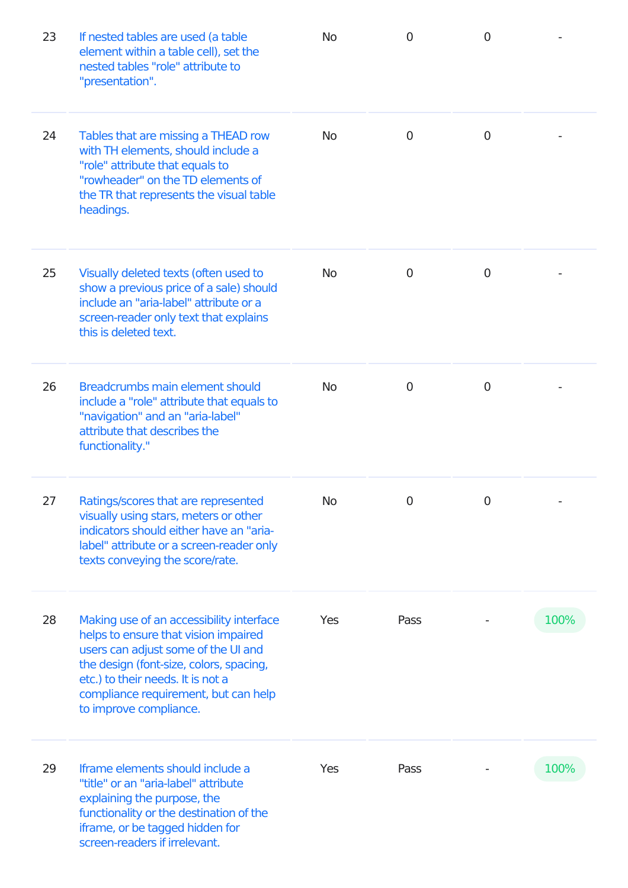| 23 | If nested tables are used (a table<br>element within a table cell), set the<br>nested tables "role" attribute to<br>"presentation".                                                                                                                                       | <b>No</b> | $\overline{0}$ | $\overline{0}$ |      |
|----|---------------------------------------------------------------------------------------------------------------------------------------------------------------------------------------------------------------------------------------------------------------------------|-----------|----------------|----------------|------|
| 24 | Tables that are missing a THEAD row<br>with TH elements, should include a<br>"role" attribute that equals to<br>"rowheader" on the TD elements of<br>the TR that represents the visual table<br>headings.                                                                 | <b>No</b> | 0              | $\overline{0}$ |      |
| 25 | Visually deleted texts (often used to<br>show a previous price of a sale) should<br>include an "aria-label" attribute or a<br>screen-reader only text that explains<br>this is deleted text.                                                                              | <b>No</b> | 0              | $\overline{0}$ |      |
| 26 | Breadcrumbs main element should<br>include a "role" attribute that equals to<br>"navigation" and an "aria-label"<br>attribute that describes the<br>functionality."                                                                                                       | <b>No</b> | 0              | $\overline{0}$ |      |
| 27 | Ratings/scores that are represented<br>visually using stars, meters or other<br>indicators should either have an "aria-<br>label" attribute or a screen-reader only<br>texts conveying the score/rate.                                                                    | <b>No</b> | $\mathbf 0$    | 0              |      |
| 28 | Making use of an accessibility interface<br>helps to ensure that vision impaired<br>users can adjust some of the UI and<br>the design (font-size, colors, spacing,<br>etc.) to their needs. It is not a<br>compliance requirement, but can help<br>to improve compliance. | Yes       | Pass           |                | 100% |
| 29 | Iframe elements should include a<br>"title" or an "aria-label" attribute<br>explaining the purpose, the<br>functionality or the destination of the<br>iframe, or be tagged hidden for<br>screen-readers if irrelevant.                                                    | Yes       | Pass           |                | 100% |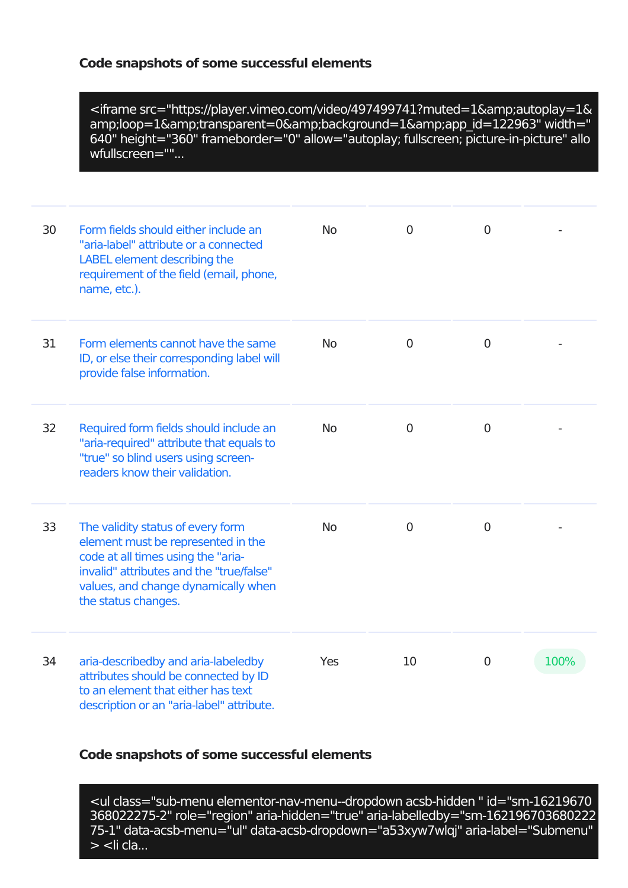<iframe src="https://player.vimeo.com/video/497499741?muted=1&amp;autoplay=1& amp;loop=1&transparent=0&background=1&app\_id=122963" width=" 640" height="360" frameborder="0" allow="autoplay; fullscreen; picture-in-picture" allo wfullscreen=""...

| 30 | Form fields should either include an<br>"aria-label" attribute or a connected<br>LABEL element describing the<br>requirement of the field (email, phone,<br>name, etc.).                                                | <b>No</b> | 0              | $\overline{0}$ |      |
|----|-------------------------------------------------------------------------------------------------------------------------------------------------------------------------------------------------------------------------|-----------|----------------|----------------|------|
| 31 | Form elements cannot have the same<br>ID, or else their corresponding label will<br>provide false information.                                                                                                          | <b>No</b> | $\mathbf 0$    | $\overline{0}$ |      |
| 32 | Required form fields should include an<br>"aria-required" attribute that equals to<br>"true" so blind users using screen-<br>readers know their validation.                                                             | <b>No</b> | $\mathbf 0$    | $\overline{0}$ |      |
| 33 | The validity status of every form<br>element must be represented in the<br>code at all times using the "aria-<br>invalid" attributes and the "true/false"<br>values, and change dynamically when<br>the status changes. | <b>No</b> | $\overline{0}$ | $\mathbf 0$    |      |
| 34 | aria-describedby and aria-labeledby<br>attributes should be connected by ID<br>to an element that either has text<br>description or an "aria-label" attribute.                                                          | Yes       | 10             | $\overline{0}$ | 100% |

## **Code snapshots of some successful elements**

<ul class="sub-menu elementor-nav-menu--dropdown acsb-hidden " id="sm-16219670 368022275-2" role="region" aria-hidden="true" aria-labelledby="sm-162196703680222 75-1" data-acsb-menu="ul" data-acsb-dropdown="a53xyw7wlqj" aria-label="Submenu"  $>$  <li cla...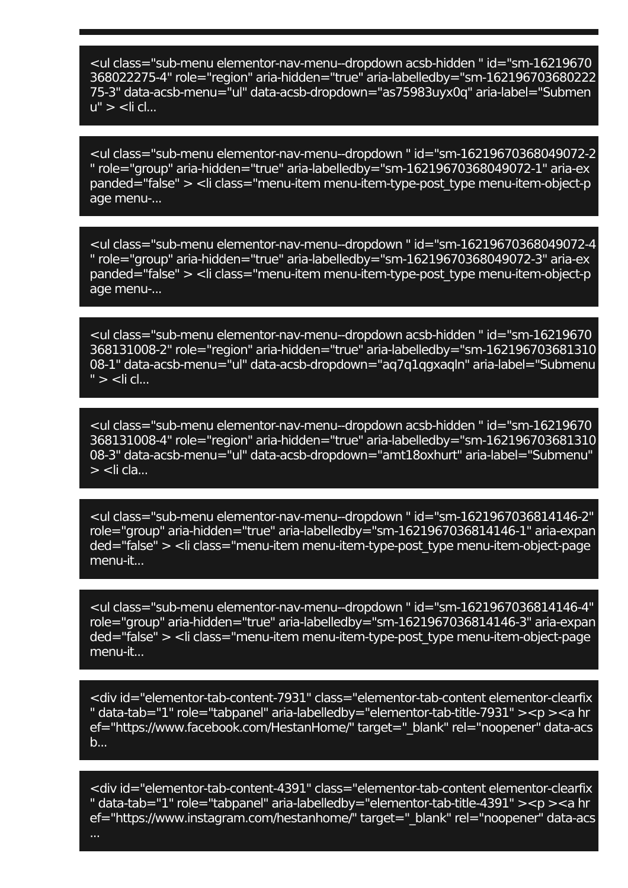<ul class="sub-menu elementor-nav-menu--dropdown acsb-hidden " id="sm-16219670 368022275-4" role="region" aria-hidden="true" aria-labelledby="sm-162196703680222 75-3" data-acsb-menu="ul" data-acsb-dropdown="as75983uyx0q" aria-label="Submen  $u'' > \leq$ li cl...

<ul class="sub-menu elementor-nav-menu--dropdown " id="sm-16219670368049072-2 " role="group" aria-hidden="true" aria-labelledby="sm-16219670368049072-1" aria-ex panded="false" > <li class="menu-item menu-item-type-post\_type menu-item-object-p age menu-...

<ul class="sub-menu elementor-nav-menu--dropdown " id="sm-16219670368049072-4 " role="group" aria-hidden="true" aria-labelledby="sm-16219670368049072-3" aria-ex panded="false" > <li class="menu-item menu-item-type-post\_type menu-item-object-p age menu-...

<ul class="sub-menu elementor-nav-menu--dropdown acsb-hidden " id="sm-16219670 368131008-2" role="region" aria-hidden="true" aria-labelledby="sm-162196703681310 08-1" data-acsb-menu="ul" data-acsb-dropdown="aq7q1qgxaqln" aria-label="Submenu  $"$  >  $\lt$ li cl...

<ul class="sub-menu elementor-nav-menu--dropdown acsb-hidden " id="sm-16219670 368131008-4" role="region" aria-hidden="true" aria-labelledby="sm-162196703681310 08-3" data-acsb-menu="ul" data-acsb-dropdown="amt18oxhurt" aria-label="Submenu"  $>$  <li cla...

<ul class="sub-menu elementor-nav-menu--dropdown " id="sm-1621967036814146-2" role="group" aria-hidden="true" aria-labelledby="sm-1621967036814146-1" aria-expan ded="false" > <li class="menu-item menu-item-type-post\_type menu-item-object-page menu-it...

<ul class="sub-menu elementor-nav-menu--dropdown " id="sm-1621967036814146-4" role="group" aria-hidden="true" aria-labelledby="sm-1621967036814146-3" aria-expan ded="false" > <li class="menu-item menu-item-type-post\_type menu-item-object-page menu-it...

<div id="elementor-tab-content-7931" class="elementor-tab-content elementor-clearfix " data-tab="1" role="tabpanel" aria-labelledby="elementor-tab-title-7931" ><p ><a hr ef="https://www.facebook.com/HestanHome/" target=" blank" rel="noopener" data-acs b...

<div id="elementor-tab-content-4391" class="elementor-tab-content elementor-clearfix " data-tab="1" role="tabpanel" aria-labelledby="elementor-tab-title-4391" ><p ><a hr ef="https://www.instagram.com/hestanhome/" target=" blank" rel="noopener" data-acs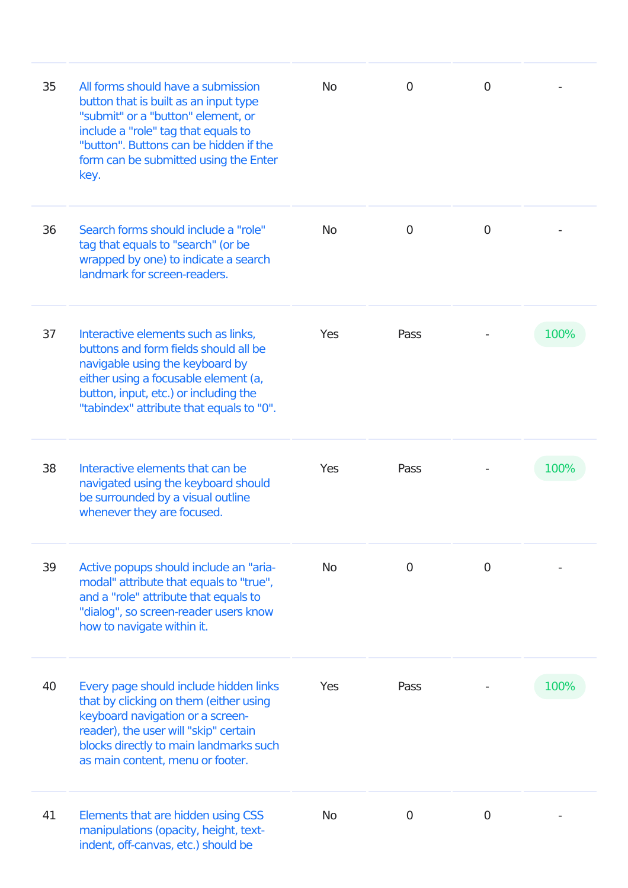| 35 | All forms should have a submission<br>button that is built as an input type<br>"submit" or a "button" element, or<br>include a "role" tag that equals to<br>"button". Buttons can be hidden if the<br>form can be submitted using the Enter<br>key. | <b>No</b>  | 0              | 0              |      |
|----|-----------------------------------------------------------------------------------------------------------------------------------------------------------------------------------------------------------------------------------------------------|------------|----------------|----------------|------|
| 36 | Search forms should include a "role"<br>tag that equals to "search" (or be<br>wrapped by one) to indicate a search<br>landmark for screen-readers.                                                                                                  | <b>No</b>  | 0              | $\overline{0}$ |      |
| 37 | Interactive elements such as links,<br>buttons and form fields should all be<br>navigable using the keyboard by<br>either using a focusable element (a,<br>button, input, etc.) or including the<br>"tabindex" attribute that equals to "0".        | <b>Yes</b> | Pass           |                | 100% |
| 38 | Interactive elements that can be<br>navigated using the keyboard should<br>be surrounded by a visual outline<br>whenever they are focused.                                                                                                          | Yes        | Pass           |                | 100% |
| 39 | Active popups should include an "aria-<br>modal" attribute that equals to "true",<br>and a "role" attribute that equals to<br>"dialog", so screen-reader users know<br>how to navigate within it.                                                   | <b>No</b>  | 0              | $\mathbf 0$    |      |
| 40 | Every page should include hidden links<br>that by clicking on them (either using<br>keyboard navigation or a screen-<br>reader), the user will "skip" certain<br>blocks directly to main landmarks such<br>as main content, menu or footer.         | Yes        | Pass           |                | 100% |
| 41 | Elements that are hidden using CSS<br>manipulations (opacity, height, text-<br>indent, off-canvas, etc.) should be                                                                                                                                  | <b>No</b>  | $\overline{0}$ | $\overline{0}$ |      |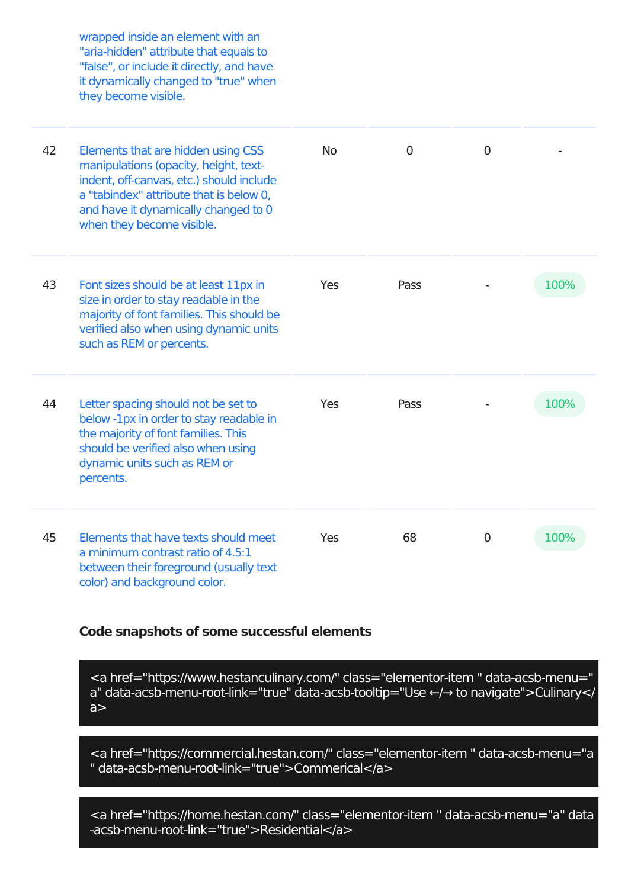|    | wrapped inside an element with an<br>"aria-hidden" attribute that equals to<br>"false", or include it directly, and have<br>it dynamically changed to "true" when<br>they become visible.                                               |           |      |                |      |
|----|-----------------------------------------------------------------------------------------------------------------------------------------------------------------------------------------------------------------------------------------|-----------|------|----------------|------|
| 42 | Elements that are hidden using CSS<br>manipulations (opacity, height, text-<br>indent, off-canvas, etc.) should include<br>a "tabindex" attribute that is below 0,<br>and have it dynamically changed to 0<br>when they become visible. | <b>No</b> | 0    | $\overline{0}$ |      |
| 43 | Font sizes should be at least 11px in<br>size in order to stay readable in the<br>majority of font families. This should be<br>verified also when using dynamic units<br>such as REM or percents.                                       | Yes       | Pass |                | 100% |
| 44 | Letter spacing should not be set to<br>below -1px in order to stay readable in<br>the majority of font families. This<br>should be verified also when using<br>dynamic units such as REM or<br>percents.                                | Yes       | Pass |                | 100% |
| 45 | Elements that have texts should meet<br>a minimum contrast ratio of 4.5:1<br>between their foreground (usually text<br>color) and background color.                                                                                     | Yes       | 68   | 0              | 100% |

<a href="https://www.hestanculinary.com/" class="elementor-item " data-acsb-menu=" a" data-acsb-menu-root-link="true" data-acsb-tooltip="Use ←/→ to navigate">Culinary</  $a >$ 

<a href="https://commercial.hestan.com/" class="elementor-item " data-acsb-menu="a " data-acsb-menu-root-link="true">Commerical</a>

<a href="https://home.hestan.com/" class="elementor-item " data-acsb-menu="a" data -acsb-menu-root-link="true">Residential</a>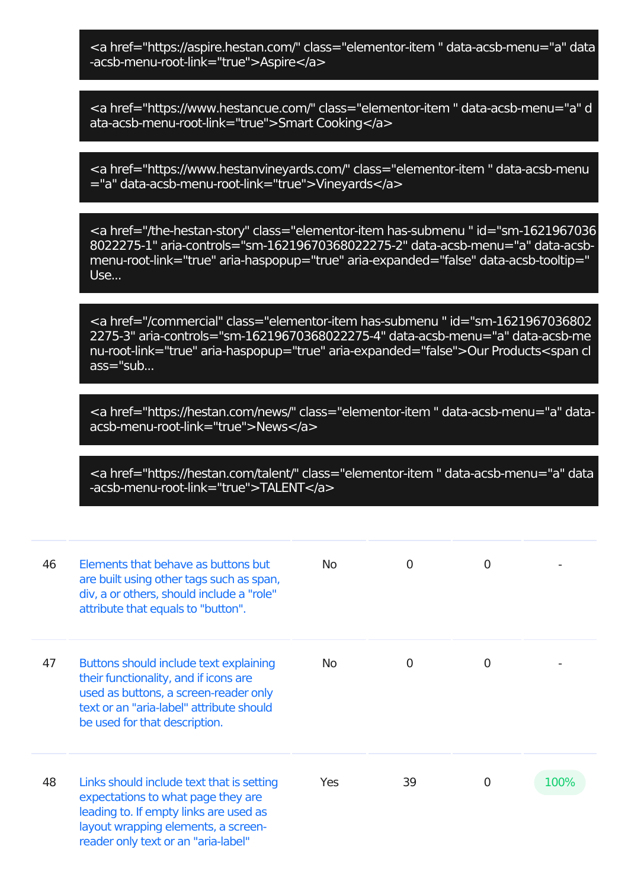<a href="https://aspire.hestan.com/" class="elementor-item " data-acsb-menu="a" data -acsb-menu-root-link="true">Aspire</a>

<a href="https://www.hestancue.com/" class="elementor-item " data-acsb-menu="a" d ata-acsb-menu-root-link="true">Smart Cooking</a>

<a href="https://www.hestanvineyards.com/" class="elementor-item " data-acsb-menu ="a" data-acsb-menu-root-link="true">Vineyards</a>

<a href="/the-hestan-story" class="elementor-item has-submenu " id="sm-1621967036 8022275-1" aria-controls="sm-16219670368022275-2" data-acsb-menu="a" data-acsbmenu-root-link="true" aria-haspopup="true" aria-expanded="false" data-acsb-tooltip=" Use...

<a href="/commercial" class="elementor-item has-submenu " id="sm-1621967036802 2275-3" aria-controls="sm-16219670368022275-4" data-acsb-menu="a" data-acsb-me nu-root-link="true" aria-haspopup="true" aria-expanded="false">Our Products<span cl ass="sub...

<a href="https://hestan.com/news/" class="elementor-item " data-acsb-menu="a" dataacsb-menu-root-link="true">News</a>

<a href="https://hestan.com/talent/" class="elementor-item " data-acsb-menu="a" data -acsb-menu-root-link="true">TALENT</a>

| 46 | Elements that behave as buttons but<br>are built using other tags such as span,<br>div, a or others, should include a "role"<br>attribute that equals to "button".                                      | No. | 0             | $\Omega$       |      |
|----|---------------------------------------------------------------------------------------------------------------------------------------------------------------------------------------------------------|-----|---------------|----------------|------|
| 47 | Buttons should include text explaining<br>their functionality, and if icons are<br>used as buttons, a screen-reader only<br>text or an "aria-label" attribute should<br>be used for that description.   | No. | $\mathcal{O}$ | $\Omega$       |      |
| 48 | Links should include text that is setting<br>expectations to what page they are<br>leading to. If empty links are used as<br>layout wrapping elements, a screen-<br>reader only text or an "aria-label" | Yes | 39            | $\overline{0}$ | 100% |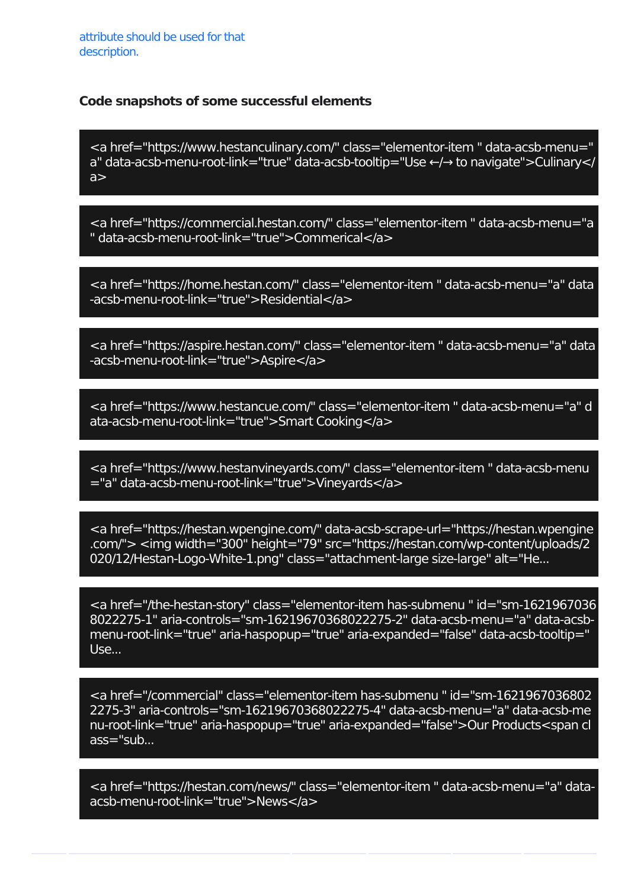<a href="https://www.hestanculinary.com/" class="elementor-item " data-acsb-menu=" a" data-acsb-menu-root-link="true" data-acsb-tooltip="Use ←/→ to navigate">Culinary</  $a$ 

<a href="https://commercial.hestan.com/" class="elementor-item " data-acsb-menu="a " data-acsb-menu-root-link="true">Commerical</a>

<a href="https://home.hestan.com/" class="elementor-item " data-acsb-menu="a" data -acsb-menu-root-link="true">Residential</a>

<a href="https://aspire.hestan.com/" class="elementor-item " data-acsb-menu="a" data -acsb-menu-root-link="true">Aspire</a>

<a href="https://www.hestancue.com/" class="elementor-item " data-acsb-menu="a" d ata-acsb-menu-root-link="true">Smart Cooking</a>

<a href="https://www.hestanvineyards.com/" class="elementor-item " data-acsb-menu ="a" data-acsb-menu-root-link="true">Vineyards</a>

<a href="https://hestan.wpengine.com/" data-acsb-scrape-url="https://hestan.wpengine .com/"> <img width="300" height="79" src="https://hestan.com/wp-content/uploads/2 020/12/Hestan-Logo-White-1.png" class="attachment-large size-large" alt="He...

<a href="/the-hestan-story" class="elementor-item has-submenu " id="sm-1621967036 8022275-1" aria-controls="sm-16219670368022275-2" data-acsb-menu="a" data-acsbmenu-root-link="true" aria-haspopup="true" aria-expanded="false" data-acsb-tooltip=" Use...

<a href="/commercial" class="elementor-item has-submenu " id="sm-1621967036802 2275-3" aria-controls="sm-16219670368022275-4" data-acsb-menu="a" data-acsb-me nu-root-link="true" aria-haspopup="true" aria-expanded="false">Our Products<span cl ass="sub...

<a href="https://hestan.com/news/" class="elementor-item " data-acsb-menu="a" dataacsb-menu-root-link="true">News</a>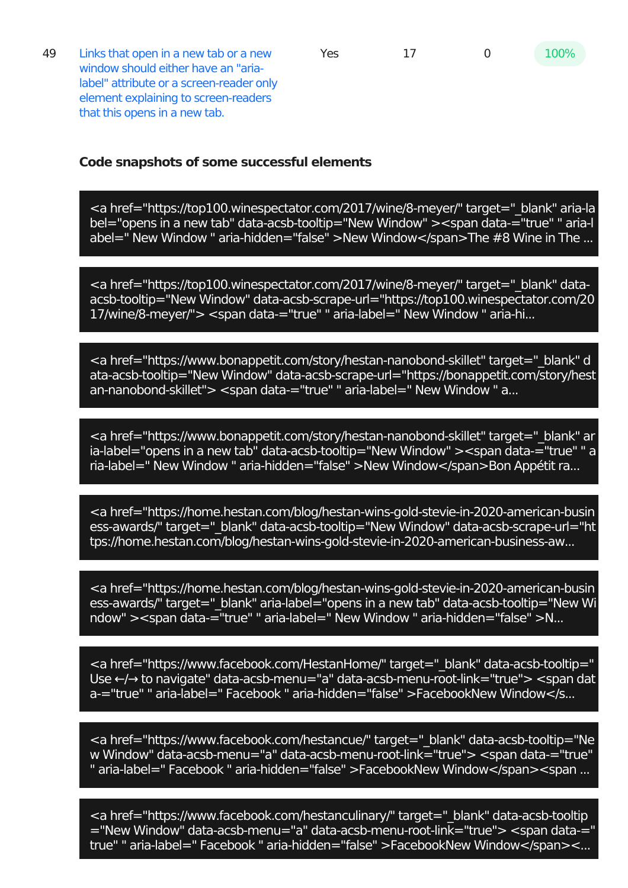49 Links that open in a new tab or a new window should either have an "arialabel" attribute or a screen-reader only element explaining to screen-readers that this opens in a new tab.

#### **Code snapshots of some successful elements**

<a href="https://top100.winespectator.com/2017/wine/8-meyer/" target="\_blank" aria-la bel="opens in a new tab" data-acsb-tooltip="New Window" ><span data-="true" " aria-l abel=" New Window " aria-hidden="false" >New Window</span>The #8 Wine in The ...

<a href="https://top100.winespectator.com/2017/wine/8-meyer/" target=" blank" dataacsb-tooltip="New Window" data-acsb-scrape-url="https://top100.winespectator.com/20 17/wine/8-meyer/"> <span data-="true" " aria-label=" New Window " aria-hi...

<a href="https://www.bonappetit.com/story/hestan-nanobond-skillet" target=" blank" d ata-acsb-tooltip="New Window" data-acsb-scrape-url="https://bonappetit.com/story/hest an-nanobond-skillet"> <span data-="true" " aria-label=" New Window " a...

<a href="https://www.bonappetit.com/story/hestan-nanobond-skillet" target="\_blank" ar ia-label="opens in a new tab" data-acsb-tooltip="New Window" ><span data-="true" " a ria-label=" New Window " aria-hidden="false" >New Window</span>Bon Appétit ra...

<a href="https://home.hestan.com/blog/hestan-wins-gold-stevie-in-2020-american-busin ess-awards/" target=" blank" data-acsb-tooltip="New Window" data-acsb-scrape-url="ht tps://home.hestan.com/blog/hestan-wins-gold-stevie-in-2020-american-business-aw...

<a href="https://home.hestan.com/blog/hestan-wins-gold-stevie-in-2020-american-busin ess-awards/" target="\_blank" aria-label="opens in a new tab" data-acsb-tooltip="New Wi ndow" ><span data-="true" " aria-label=" New Window " aria-hidden="false" >N...

<a href="https://www.facebook.com/HestanHome/" target=" blank" data-acsb-tooltip=" Use ←/→ to navigate" data-acsb-menu="a" data-acsb-menu-root-link="true"> <span dat a-="true" " aria-label=" Facebook " aria-hidden="false" >FacebookNew Window</s...

<a href="https://www.facebook.com/hestancue/" target="\_blank" data-acsb-tooltip="Ne w Window" data-acsb-menu="a" data-acsb-menu-root-link="true"> <span data-="true" " aria-label=" Facebook " aria-hidden="false" >FacebookNew Window</span><span ...

<a href="https://www.facebook.com/hestanculinary/" target=" blank" data-acsb-tooltip ="New Window" data-acsb-menu="a" data-acsb-menu-root-link="true"> <span data-=" true" " aria-label=" Facebook " aria-hidden="false" >FacebookNew Window</span><...